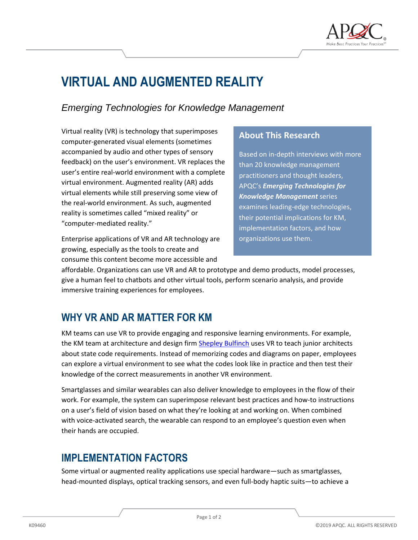

# **VIRTUAL AND AUGMENTED REALITY**

#### *Emerging Technologies for Knowledge Management*

Virtual reality (VR) is technology that superimposes computer-generated visual elements (sometimes accompanied by audio and other types of sensory feedback) on the user's environment. VR replaces the user's entire real-world environment with a complete virtual environment. Augmented reality (AR) adds virtual elements while still preserving some view of the real-world environment. As such, augmented reality is sometimes called "mixed reality" or "computer-mediated reality."

Enterprise applications of VR and AR technology are growing, especially as the tools to create and consume this content become more accessible and

#### **About This Research**

Based on in-depth interviews with more than 20 knowledge management practitioners and thought leaders, APQC's *Emerging Technologies for Knowledge Management* series examines leading-edge technologies, their potential implications for KM, implementation factors, and how organizations use them.

affordable. Organizations can use VR and AR to prototype and demo products, model processes, give a human feel to chatbots and other virtual tools, perform scenario analysis, and provide immersive training experiences for employees.

## **WHY VR AND AR MATTER FOR KM**

KM teams can use VR to provide engaging and responsive learning environments. For example, the KM team at architecture and design firm [Shepley Bulfinch](https://www.apqc.org/knowledge-base/documents/knowledge-transfer-shepley-bulfinch) uses VR to teach junior architects about state code requirements. Instead of memorizing codes and diagrams on paper, employees can explore a virtual environment to see what the codes look like in practice and then test their knowledge of the correct measurements in another VR environment.

Smartglasses and similar wearables can also deliver knowledge to employees in the flow of their work. For example, the system can superimpose relevant best practices and how-to instructions on a user's field of vision based on what they're looking at and working on. When combined with voice-activated search, the wearable can respond to an employee's question even when their hands are occupied.

## **IMPLEMENTATION FACTORS**

Some virtual or augmented reality applications use special hardware—such as smartglasses, head-mounted displays, optical tracking sensors, and even full-body haptic suits—to achieve a